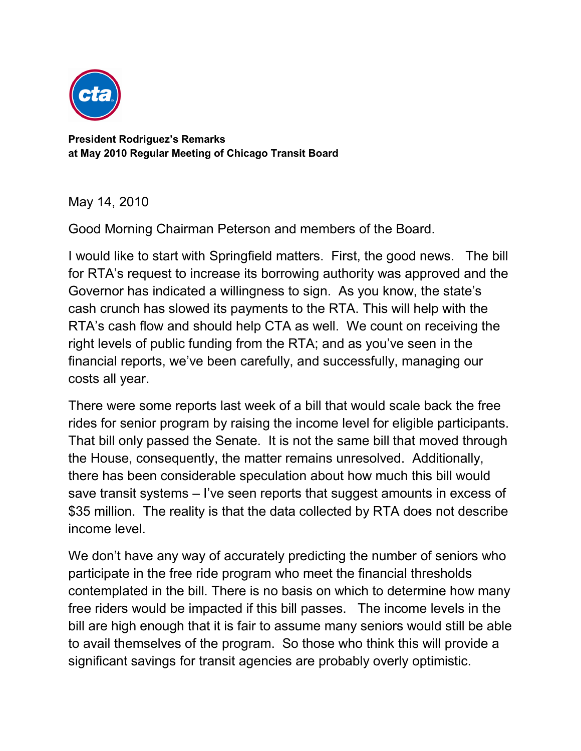

**President Rodriguez's Remarks at May 2010 Regular Meeting of Chicago Transit Board**

May 14, 2010

Good Morning Chairman Peterson and members of the Board.

I would like to start with Springfield matters. First, the good news. The bill for RTA's request to increase its borrowing authority was approved and the Governor has indicated a willingness to sign. As you know, the state's cash crunch has slowed its payments to the RTA. This will help with the RTA's cash flow and should help CTA as well. We count on receiving the right levels of public funding from the RTA; and as you've seen in the financial reports, we've been carefully, and successfully, managing our costs all year.

There were some reports last week of a bill that would scale back the free rides for senior program by raising the income level for eligible participants. That bill only passed the Senate. It is not the same bill that moved through the House, consequently, the matter remains unresolved. Additionally, there has been considerable speculation about how much this bill would save transit systems – I've seen reports that suggest amounts in excess of \$35 million. The reality is that the data collected by RTA does not describe income level.

We don't have any way of accurately predicting the number of seniors who participate in the free ride program who meet the financial thresholds contemplated in the bill. There is no basis on which to determine how many free riders would be impacted if this bill passes. The income levels in the bill are high enough that it is fair to assume many seniors would still be able to avail themselves of the program. So those who think this will provide a significant savings for transit agencies are probably overly optimistic.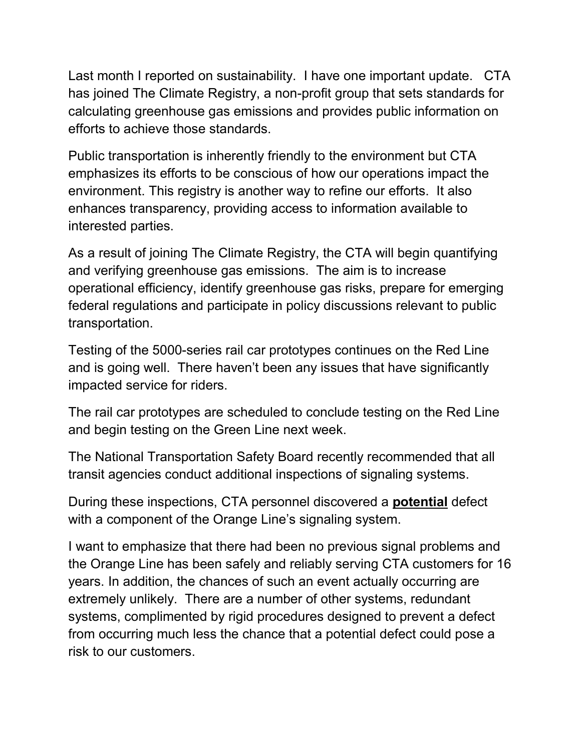Last month I reported on sustainability. I have one important update. CTA has joined The Climate Registry, a non-profit group that sets standards for calculating greenhouse gas emissions and provides public information on efforts to achieve those standards.

Public transportation is inherently friendly to the environment but CTA emphasizes its efforts to be conscious of how our operations impact the environment. This registry is another way to refine our efforts. It also enhances transparency, providing access to information available to interested parties.

As a result of joining The Climate Registry, the CTA will begin quantifying and verifying greenhouse gas emissions. The aim is to increase operational efficiency, identify greenhouse gas risks, prepare for emerging federal regulations and participate in policy discussions relevant to public transportation.

Testing of the 5000-series rail car prototypes continues on the Red Line and is going well. There haven't been any issues that have significantly impacted service for riders.

The rail car prototypes are scheduled to conclude testing on the Red Line and begin testing on the Green Line next week.

The National Transportation Safety Board recently recommended that all transit agencies conduct additional inspections of signaling systems.

During these inspections, CTA personnel discovered a **potential** defect with a component of the Orange Line's signaling system.

I want to emphasize that there had been no previous signal problems and the Orange Line has been safely and reliably serving CTA customers for 16 years. In addition, the chances of such an event actually occurring are extremely unlikely. There are a number of other systems, redundant systems, complimented by rigid procedures designed to prevent a defect from occurring much less the chance that a potential defect could pose a risk to our customers.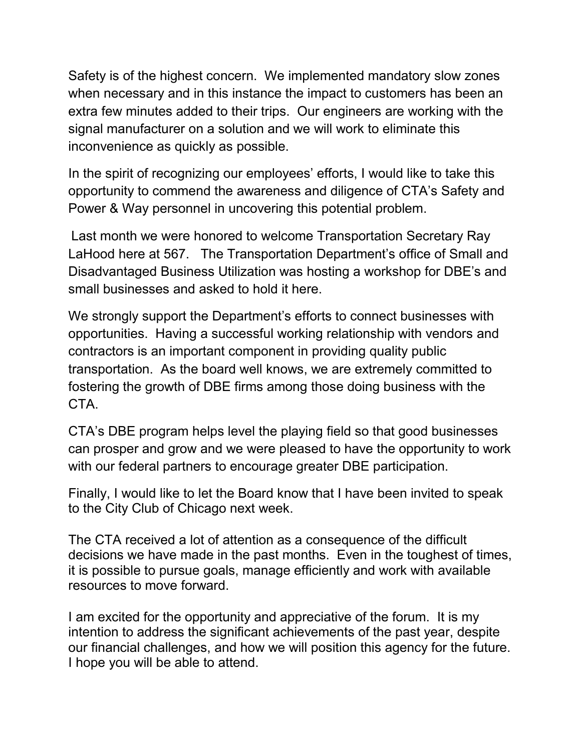Safety is of the highest concern. We implemented mandatory slow zones when necessary and in this instance the impact to customers has been an extra few minutes added to their trips. Our engineers are working with the signal manufacturer on a solution and we will work to eliminate this inconvenience as quickly as possible.

In the spirit of recognizing our employees' efforts, I would like to take this opportunity to commend the awareness and diligence of CTA's Safety and Power & Way personnel in uncovering this potential problem.

Last month we were honored to welcome Transportation Secretary Ray LaHood here at 567. The Transportation Department's office of Small and Disadvantaged Business Utilization was hosting a workshop for DBE's and small businesses and asked to hold it here.

We strongly support the Department's efforts to connect businesses with opportunities. Having a successful working relationship with vendors and contractors is an important component in providing quality public transportation. As the board well knows, we are extremely committed to fostering the growth of DBE firms among those doing business with the CTA.

CTA's DBE program helps level the playing field so that good businesses can prosper and grow and we were pleased to have the opportunity to work with our federal partners to encourage greater DBE participation.

Finally, I would like to let the Board know that I have been invited to speak to the City Club of Chicago next week.

The CTA received a lot of attention as a consequence of the difficult decisions we have made in the past months. Even in the toughest of times, it is possible to pursue goals, manage efficiently and work with available resources to move forward.

I am excited for the opportunity and appreciative of the forum. It is my intention to address the significant achievements of the past year, despite our financial challenges, and how we will position this agency for the future. I hope you will be able to attend.